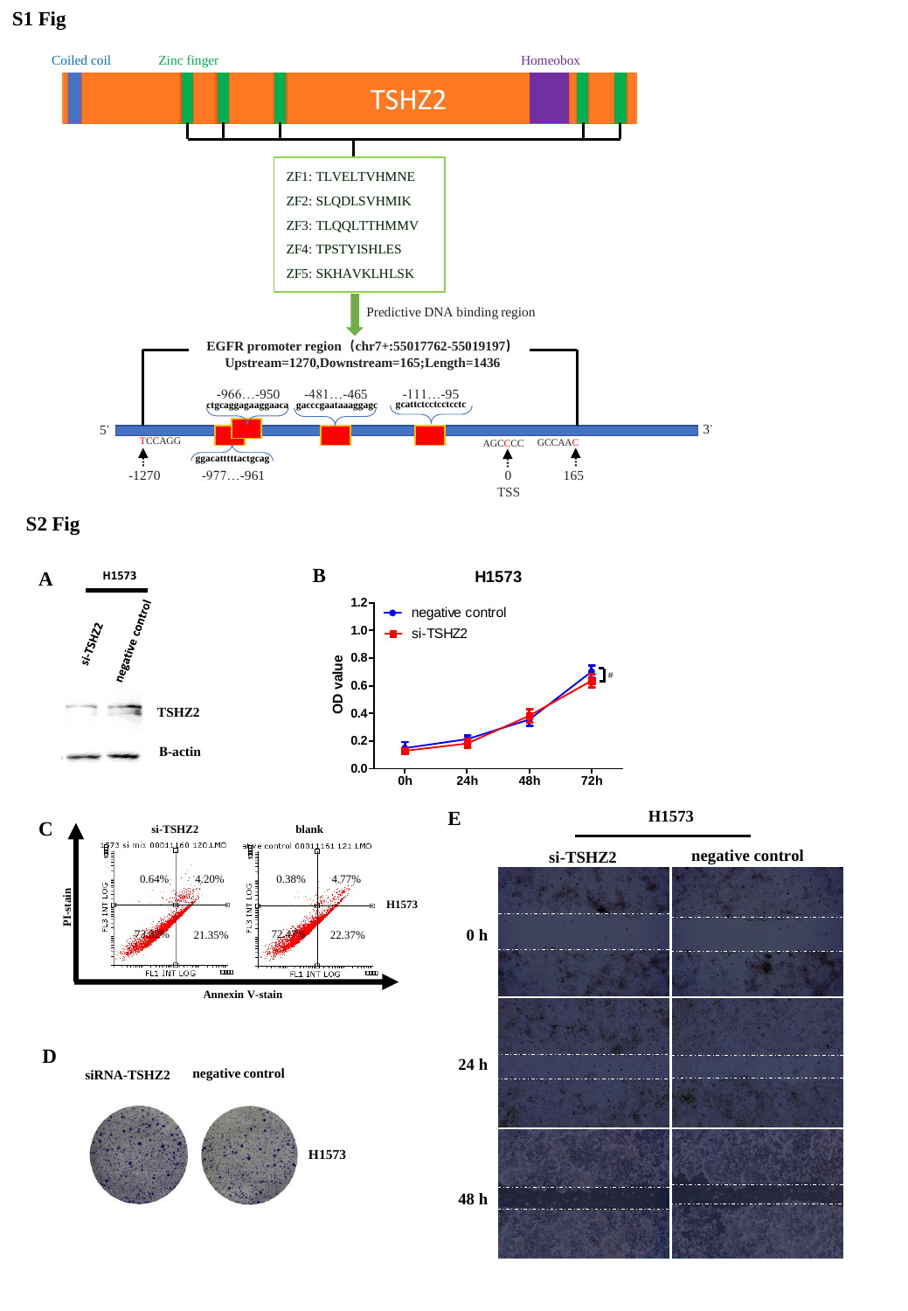**S1 Fig**













**siRNA-TSHZ2 negative control**